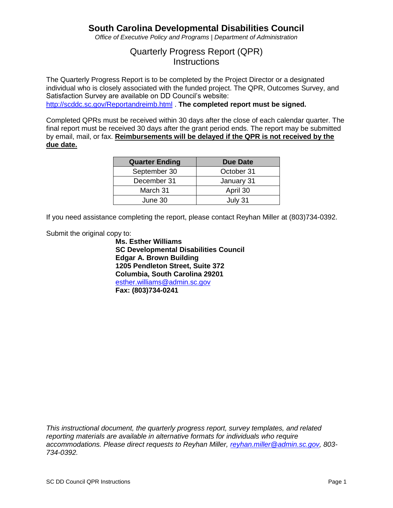*Office of Executive Policy and Programs | Department of Administration*

## Quarterly Progress Report (QPR) **Instructions**

The Quarterly Progress Report is to be completed by the Project Director or a designated individual who is closely associated with the funded project. The QPR, Outcomes Survey, and Satisfaction Survey are available on DD Council's website:

[http://scddc.sc.gov/Reportandreimb.html](https://scddc.sc.gov/Reportandreimb.html) . **The completed report must be signed.**

Completed QPRs must be received within 30 days after the close of each calendar quarter. The final report must be received 30 days after the grant period ends. The report may be submitted by email, mail, or fax. **Reimbursements will be delayed if the QPR is not received by the due date.**

| <b>Quarter Ending</b> | <b>Due Date</b> |
|-----------------------|-----------------|
| September 30          | October 31      |
| December 31           | January 31      |
| March 31              | April 30        |
| June 30               | July 31         |

If you need assistance completing the report, please contact Reyhan Miller at (803)734-0392.

Submit the original copy to:

**Ms. Esther Williams SC Developmental Disabilities Council Edgar A. Brown Building 1205 Pendleton Street, Suite 372 Columbia, South Carolina 29201** [esther.williams@admin.sc.gov](mailto:esther.williams@admin.sc.gov) **Fax: (803)734-0241**

*This instructional document, the quarterly progress report, survey templates, and related reporting materials are available in alternative formats for individuals who require accommodations. Please direct requests to Reyhan Miller, [reyhan.miller@admin.sc.gov,](mailto:reyhan.miller@admin.sc.gov) 803- 734-0392.*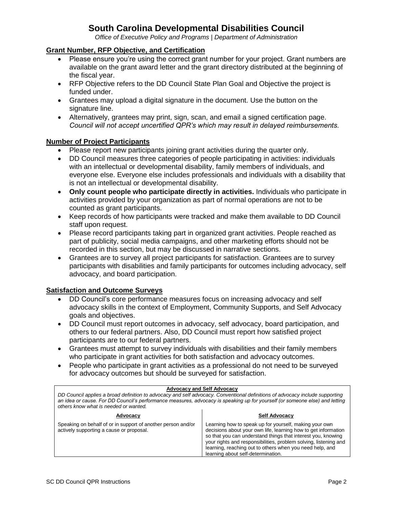*Office of Executive Policy and Programs | Department of Administration*

#### **Grant Number, RFP Objective, and Certification**

- Please ensure you're using the correct grant number for your project. Grant numbers are available on the grant award letter and the grant directory distributed at the beginning of the fiscal year.
- RFP Objective refers to the DD Council State Plan Goal and Objective the project is funded under.
- Grantees may upload a digital signature in the document. Use the button on the signature line.
- Alternatively, grantees may print, sign, scan, and email a signed certification page. *Council will not accept uncertified QPR's which may result in delayed reimbursements.*

#### **Number of Project Participants**

- Please report new participants joining grant activities during the quarter only.
- DD Council measures three categories of people participating in activities: individuals with an intellectual or developmental disability, family members of individuals, and everyone else. Everyone else includes professionals and individuals with a disability that is not an intellectual or developmental disability.
- **Only count people who participate directly in activities.** Individuals who participate in activities provided by your organization as part of normal operations are not to be counted as grant participants.
- Keep records of how participants were tracked and make them available to DD Council staff upon request.
- Please record participants taking part in organized grant activities. People reached as part of publicity, social media campaigns, and other marketing efforts should not be recorded in this section, but may be discussed in narrative sections.
- Grantees are to survey all project participants for satisfaction. Grantees are to survey participants with disabilities and family participants for outcomes including advocacy, self advocacy, and board participation.

#### **Satisfaction and Outcome Surveys**

- DD Council's core performance measures focus on increasing advocacy and self advocacy skills in the context of Employment, Community Supports, and Self Advocacy goals and objectives.
- DD Council must report outcomes in advocacy, self advocacy, board participation, and others to our federal partners. Also, DD Council must report how satisfied project participants are to our federal partners.
- Grantees must attempt to survey individuals with disabilities and their family members who participate in grant activities for both satisfaction and advocacy outcomes.
- People who participate in grant activities as a professional do not need to be surveyed for advocacy outcomes but should be surveyed for satisfaction.

| <b>Advocacy and Self Advocacy</b><br>DD Council applies a broad definition to advocacy and self advocacy. Conventional definitions of advocacy include supporting<br>an idea or cause. For DD Council's performance measures, advocacy is speaking up for yourself (or someone else) and letting<br>others know what is needed or wanted. |                                                                                                                                                                                                                                                                                                                                                                |  |
|-------------------------------------------------------------------------------------------------------------------------------------------------------------------------------------------------------------------------------------------------------------------------------------------------------------------------------------------|----------------------------------------------------------------------------------------------------------------------------------------------------------------------------------------------------------------------------------------------------------------------------------------------------------------------------------------------------------------|--|
| Advocacy                                                                                                                                                                                                                                                                                                                                  | <b>Self Advocacy</b>                                                                                                                                                                                                                                                                                                                                           |  |
| Speaking on behalf of or in support of another person and/or<br>actively supporting a cause or proposal.                                                                                                                                                                                                                                  | Learning how to speak up for yourself, making your own<br>decisions about your own life, learning how to get information<br>so that you can understand things that interest you, knowing<br>your rights and responsibilities, problem solving, listening and<br>learning, reaching out to others when you need help, and<br>learning about self-determination. |  |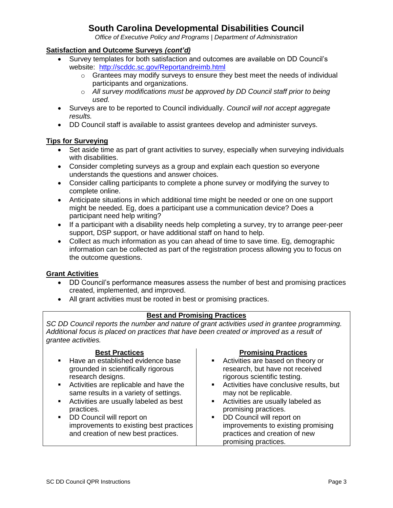*Office of Executive Policy and Programs | Department of Administration*

### **Satisfaction and Outcome Surveys** *(cont'd)*

- Survey templates for both satisfaction and outcomes are available on DD Council's website: [http://scddc.sc.gov/Reportandreimb.html](https://scddc.sc.gov/Reportandreimb.html)
	- $\circ$  Grantees may modify surveys to ensure they best meet the needs of individual participants and organizations.
	- o *All survey modifications must be approved by DD Council staff prior to being used.*
- Surveys are to be reported to Council individually. *Council will not accept aggregate results.*
- DD Council staff is available to assist grantees develop and administer surveys.

### **Tips for Surveying**

- Set aside time as part of grant activities to survey, especially when surveying individuals with disabilities.
- Consider completing surveys as a group and explain each question so everyone understands the questions and answer choices.
- Consider calling participants to complete a phone survey or modifying the survey to complete online.
- Anticipate situations in which additional time might be needed or one on one support might be needed. Eg, does a participant use a communication device? Does a participant need help writing?
- If a participant with a disability needs help completing a survey, try to arrange peer-peer support, DSP support, or have additional staff on hand to help.
- Collect as much information as you can ahead of time to save time. Eg, demographic information can be collected as part of the registration process allowing you to focus on the outcome questions.

#### **Grant Activities**

- DD Council's performance measures assess the number of best and promising practices created, implemented, and improved.
- All grant activities must be rooted in best or promising practices.

### **Best and Promising Practices**

*SC DD Council reports the number and nature of grant activities used in grantee programming. Additional focus is placed on practices that have been created or improved as a result of grantee activities.*

| <b>Best Practices</b><br>• Have an established evidence base<br>grounded in scientifically rigorous         | <b>Promising Practices</b><br>• Activities are based on theory or<br>research, but have not received                                                    |
|-------------------------------------------------------------------------------------------------------------|---------------------------------------------------------------------------------------------------------------------------------------------------------|
| research designs.                                                                                           | rigorous scientific testing.                                                                                                                            |
| • Activities are replicable and have the<br>same results in a variety of settings.                          | Activities have conclusive results, but<br>may not be replicable.                                                                                       |
| Activities are usually labeled as best<br>practices.                                                        | • Activities are usually labeled as<br>promising practices.                                                                                             |
| DD Council will report on<br>improvements to existing best practices<br>and creation of new best practices. | DD Council will report on<br>$\mathbf{m}$ , $\mathbf{m}$<br>improvements to existing promising<br>practices and creation of new<br>promising practices. |